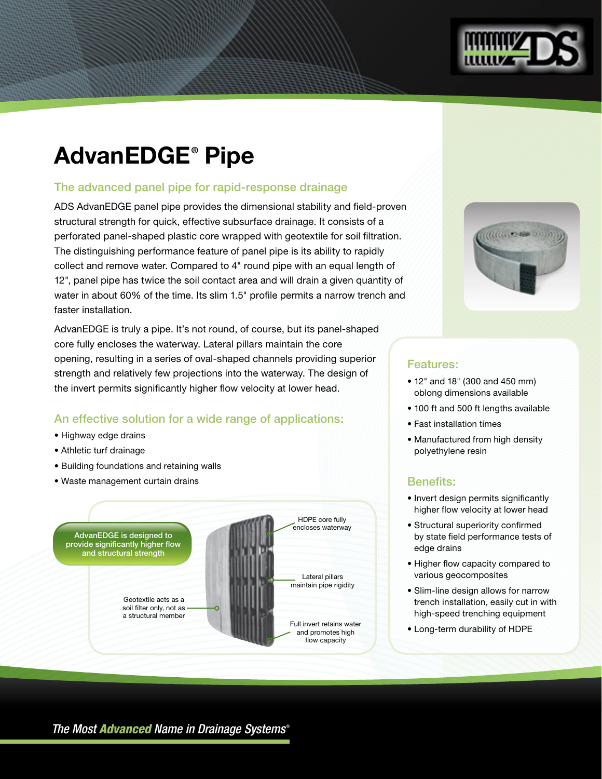

# **AdvanEDGE® Pipe**

## The advanced panel pipe for rapid-response drainage

ADS AdvanEDGE panel pipe provides the dimensional stability and field-proven structural strength for quick, effective subsurface drainage. It consists of a perforated panel-shaped plastic core wrapped with geotextile for soil filtration. The distinguishing performance feature of panel pipe is its ability to rapidly collect and remove water. Compared to 4" round pipe with an equal length of 12", panel pipe has twice the soil contact area and will drain a given quantity of water in about 60% of the time. Its slim 1.5" profile permits a narrow trench and faster installation.

AdvanEDGE is truly a pipe. It's not round, of course, but its panel-shaped core fully encloses the waterway. Lateral pillars maintain the core opening, resulting in a series of oval-shaped channels providing superior strength and relatively few projections into the waterway. The design of the invert permits significantly higher flow velocity at lower head.

### An effective solution for a wide range of applications:

- Highway edge drains
- Athletic turf drainage
- Building foundations and retaining walls
- Waste management curtain drains





### Features:

- 12" and 18" (300 and 450 mm) oblong dimensions available
- 100 ft and 500 ft lengths available
- Fast installation times
- Manufactured from high density polyethylene resin

### Benefits:

- Invert design permits significantly higher flow velocity at lower head
- Structural superiority confirmed by state field performance tests of edge drains
- Higher flow capacity compared to various geocomposites
- Slim-line design allows for narrow trench installation, easily cut in with high-speed trenching equipment
- Long-term durability of HDPE

*The Most Advanced Name in Drainage Systems* ®